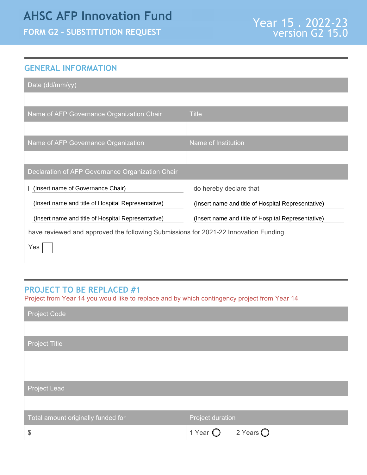## **AHSC AFP Innovation Fund**

**FORM G2 – SUBSTITUTION REQUEST**

## **GENERAL INFORMATION**

| Date (dd/mm/yy)                                                                      |                                                    |  |
|--------------------------------------------------------------------------------------|----------------------------------------------------|--|
|                                                                                      |                                                    |  |
| Name of AFP Governance Organization Chair                                            | <b>Title</b>                                       |  |
|                                                                                      |                                                    |  |
| Name of AFP Governance Organization                                                  | Name of Institution                                |  |
|                                                                                      |                                                    |  |
| Declaration of AFP Governance Organization Chair                                     |                                                    |  |
| (Insert name of Governance Chair)                                                    | do hereby declare that                             |  |
| (Insert name and title of Hospital Representative)                                   | (Insert name and title of Hospital Representative) |  |
| (Insert name and title of Hospital Representative)                                   | (Insert name and title of Hospital Representative) |  |
| have reviewed and approved the following Submissions for 2021-22 Innovation Funding. |                                                    |  |
|                                                                                      |                                                    |  |

## **PROJECT TO BE REPLACED #1**

Project from Year 14 you would like to replace and by which contingency project from Year 14

| <b>Project Code</b>                |                                         |
|------------------------------------|-----------------------------------------|
|                                    |                                         |
| <b>Project Title</b>               |                                         |
|                                    |                                         |
|                                    |                                         |
| Project Lead                       |                                         |
|                                    |                                         |
| Total amount originally funded for | Project duration                        |
| $\boldsymbol{\mathsf{S}}$          | 2 Years $\bigcirc$<br>1 Year $\bigcirc$ |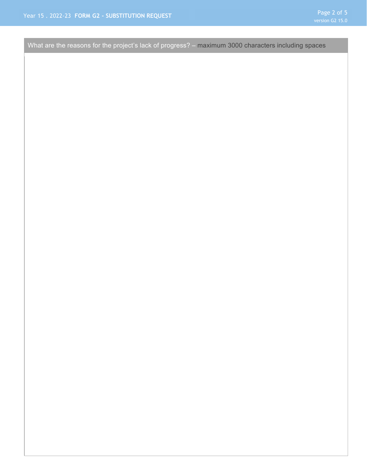What are the reasons for the project's lack of progress? – maximum 3000 characters including spaces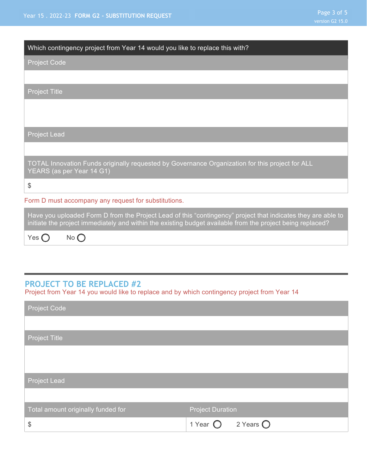| Which contingency project from Year 14 would you like to replace this with?                                                                                                                                                |
|----------------------------------------------------------------------------------------------------------------------------------------------------------------------------------------------------------------------------|
| <b>Project Code</b>                                                                                                                                                                                                        |
|                                                                                                                                                                                                                            |
| <b>Project Title</b>                                                                                                                                                                                                       |
|                                                                                                                                                                                                                            |
|                                                                                                                                                                                                                            |
| <b>Project Lead</b>                                                                                                                                                                                                        |
|                                                                                                                                                                                                                            |
| TOTAL Innovation Funds originally requested by Governance Organization for this project for ALL<br>YEARS (as per Year 14 G1)                                                                                               |
| \$                                                                                                                                                                                                                         |
| Form D must accompany any request for substitutions.                                                                                                                                                                       |
| Have you uploaded Form D from the Project Lead of this "contingency" project that indicates they are able to<br>initiate the project immediately and within the existing budget available from the project being replaced? |
| Yes $\bigcap$<br>$No$ $\Box$                                                                                                                                                                                               |

## **PROJECT TO BE REPLACED #2**

Project from Year 14 you would like to replace and by which contingency project from Year 14

| <b>Project Code</b>                |                                         |
|------------------------------------|-----------------------------------------|
|                                    |                                         |
| Project Title                      |                                         |
|                                    |                                         |
|                                    |                                         |
| <b>Project Lead</b>                |                                         |
|                                    |                                         |
| Total amount originally funded for | <b>Project Duration</b>                 |
| \$                                 | 2 Years $\bigcirc$<br>1 Year $\bigcirc$ |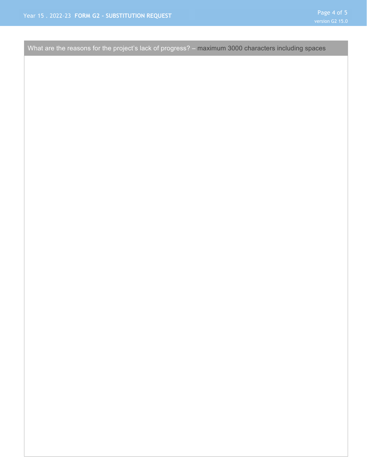What are the reasons for the project's lack of progress? – maximum 3000 characters including spaces